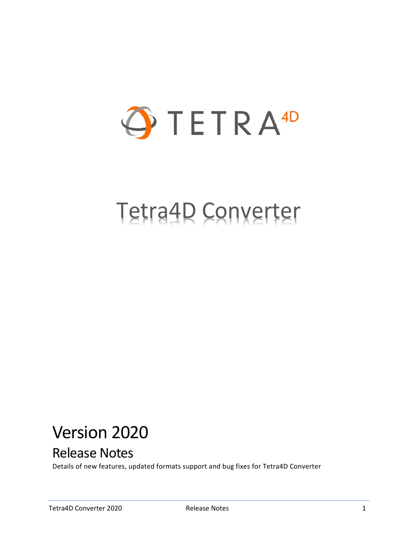

# Tetra4D Converter

## Version 2020

## Release Notes

Details of new features, updated formats support and bug fixes for Tetra4D Converter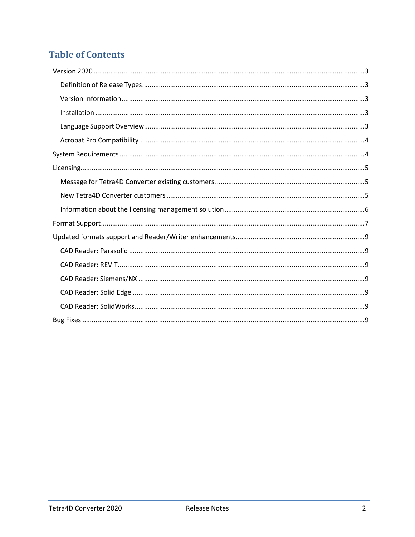## **Table of Contents**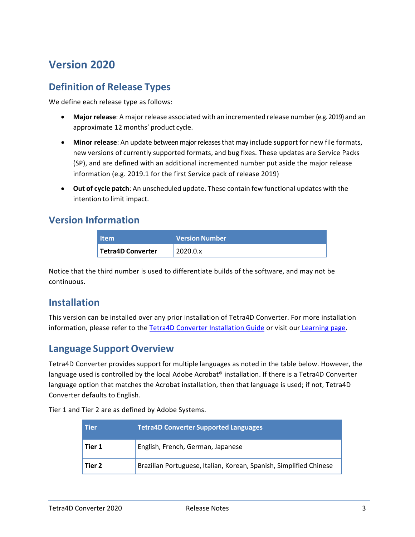## <span id="page-2-0"></span>**Version 2020**

#### <span id="page-2-1"></span>**Definition of Release Types**

We define each release type as follows:

- **Major release**: A major release associated with an incremented release number (e.g. 2019) and an approximate 12 months' product cycle.
- **Minor release**: An update betweenmajorreleasesthat may include support for new file formats, new versions of currently supported formats, and bug fixes. These updates are Service Packs (SP), and are defined with an additional incremented number put aside the major release information (e.g. 2019.1 for the first Service pack of release 2019)
- **Out of cycle patch**: An unscheduled update. These contain few functional updates with the intention to limit impact.

#### <span id="page-2-2"></span>**Version Information**

| <b>Item</b>       | <b>Version Number</b> |
|-------------------|-----------------------|
| Tetra4D Converter | 2020.0.x              |

Notice that the third number is used to differentiate builds of the software, and may not be continuous.

#### <span id="page-2-3"></span>**Installation**

This version can be installed over any prior installation of Tetra4D Converter. For more installation information, please refer to the [Tetra4D Converter Installation Guide](http://www.tetra4d.com/documentation/) or visit our [Learning](http://tetra4d.com/learning/) page.

#### <span id="page-2-4"></span>**Language Support Overview**

Tetra4D Converter provides support for multiple languages as noted in the table below. However, the language used is controlled by the local Adobe Acrobat® installation. If there is a Tetra4D Converter language option that matches the Acrobat installation, then that language is used; if not, Tetra4D Converter defaults to English.

Tier 1 and Tier 2 are as defined by Adobe Systems.

| <b>Tier</b> | <b>Tetra4D Converter Supported Languages</b>                       |
|-------------|--------------------------------------------------------------------|
| Tier 1      | English, French, German, Japanese                                  |
| Tier 2      | Brazilian Portuguese, Italian, Korean, Spanish, Simplified Chinese |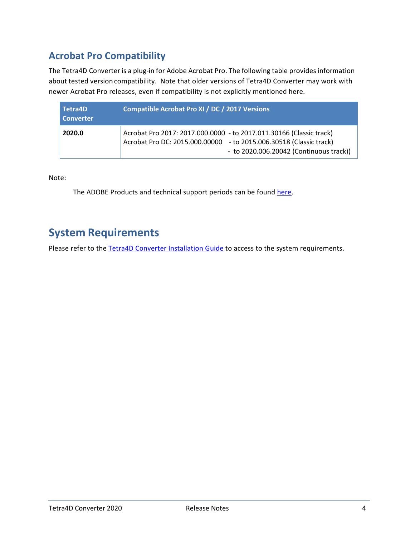### <span id="page-3-0"></span>**Acrobat Pro Compatibility**

The Tetra4D Converter is a plug-in for Adobe Acrobat Pro. The following table provides information about tested version compatibility. Note that older versions of Tetra4D Converter may work with newer Acrobat Pro releases, even if compatibility is not explicitly mentioned here.

| Tetra4D<br><b>Converter</b> | Compatible Acrobat Pro XI / DC / 2017 Versions                                                                                                                                       |
|-----------------------------|--------------------------------------------------------------------------------------------------------------------------------------------------------------------------------------|
| 2020.0                      | Acrobat Pro 2017: 2017.000.0000 - to 2017.011.30166 (Classic track)<br>Acrobat Pro DC: 2015.000.00000 - to 2015.006.30518 (Classic track)<br>- to 2020.006.20042 (Continuous track)) |

Note:

The ADOBE Products and technical support periods can be found [here.](https://helpx.adobe.com/support/programs/eol-matrix.html)

## <span id="page-3-1"></span>**System Requirements**

Please refer to the [Tetra4D Converter Installation Guide](http://www.tetra4d.com/documentation/) to access to the system requirements.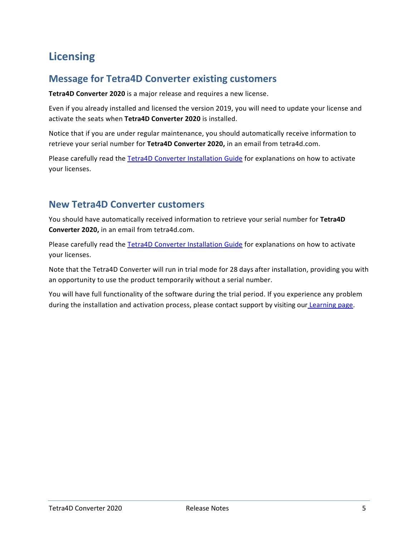## <span id="page-4-0"></span>**Licensing**

#### <span id="page-4-1"></span>**Message for Tetra4D Converter existing customers**

**Tetra4D Converter 2020** is a major release and requires a new license.

Even if you already installed and licensed the version 2019, you will need to update your license and activate the seats when **Tetra4D Converter 2020** is installed.

Notice that if you are under regular maintenance, you should automatically receive information to retrieve your serial number for **Tetra4D Converter 2020,** in an email from tetra4d.com.

Please carefully read the [Tetra4D Converter Installation Guide](http://www.tetra4d.com/documentation/) for explanations on how to activate your licenses.

#### <span id="page-4-2"></span>**New Tetra4D Converter customers**

You should have automatically received information to retrieve your serial number for **Tetra4D Converter 2020,** in an email from tetra4d.com.

Please carefully read the [Tetra4D Converter Installation Guide](http://www.tetra4d.com/documentation/) for explanations on how to activate your licenses.

Note that the Tetra4D Converter will run in trial mode for 28 days after installation, providing you with an opportunity to use the product temporarily without a serial number.

You will have full functionality of the software during the trial period. If you experience any problem during the installation and activation process, please contact support by visiting our [Learning page.](http://tetra4d.com/learning/)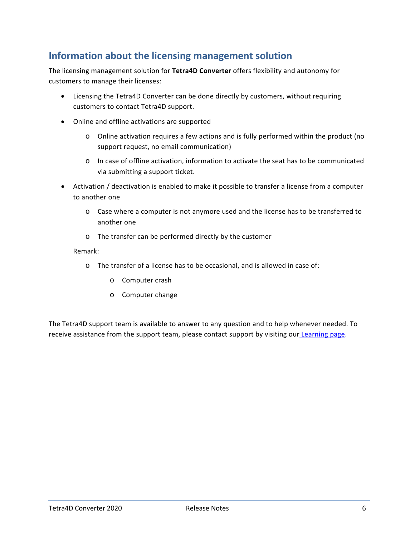#### <span id="page-5-0"></span>**Information about the licensing management solution**

The licensing management solution for **Tetra4D Converter** offers flexibility and autonomy for customers to manage their licenses:

- Licensing the Tetra4D Converter can be done directly by customers, without requiring customers to contact Tetra4D support.
- Online and offline activations are supported
	- o Online activation requires a few actions and is fully performed within the product (no support request, no email communication)
	- o In case of offline activation, information to activate the seat has to be communicated via submitting a support ticket.
- Activation / deactivation is enabled to make it possible to transfer a license from a computer to another one
	- o Case where a computer is not anymore used and the license has to be transferred to another one
	- o The transfer can be performed directly by the customer

#### Remark:

- o The transfer of a license has to be occasional, and is allowed in case of:
	- o Computer crash
	- o Computer change

The Tetra4D support team is available to answer to any question and to help whenever needed. To receive assistance from the support team, please contact support by visiting our [Learning page.](http://tetra4d.com/learning/)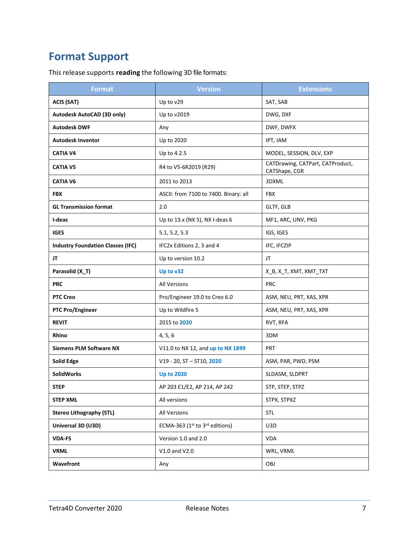## <span id="page-6-0"></span>**Format Support**

This release supports **reading** the following 3D file formats:

| <b>Format</b>                            | <b>Version</b>                        | <b>Extensions</b>                                 |
|------------------------------------------|---------------------------------------|---------------------------------------------------|
| <b>ACIS (SAT)</b>                        | Up to v29                             | SAT, SAB                                          |
| Autodesk AutoCAD (3D only)               | Up to v2019                           | DWG, DXF                                          |
| <b>Autodesk DWF</b>                      | Any                                   | DWF, DWFX                                         |
| <b>Autodesk Inventor</b>                 | Up to 2020                            | IPT, IAM                                          |
| <b>CATIA V4</b>                          | Up to 4.2.5                           | MODEL, SESSION, DLV, EXP                          |
| <b>CATIA V5</b>                          | R4 to V5-6R2019 (R29)                 | CATDrawing, CATPart, CATProduct,<br>CATShape, CGR |
| <b>CATIA V6</b>                          | 2011 to 2013                          | 3DXML                                             |
| <b>FBX</b>                               | ASCII: from 7100 to 7400. Binary: all | <b>FBX</b>                                        |
| <b>GL Transmission format</b>            | 2.0                                   | GLTF, GLB                                         |
| I-deas                                   | Up to 13.x (NX 5), NX I-deas 6        | MF1, ARC, UNV, PKG                                |
| <b>IGES</b>                              | 5.1, 5.2, 5.3                         | IGS, IGES                                         |
| <b>Industry Foundation Classes (IFC)</b> | IFC2x Editions 2, 3 and 4             | IFC, IFCZIP                                       |
| JT                                       | Up to version 10.2                    | JT                                                |
| Parasolid (X_T)                          | Up to v32                             | X_B, X_T, XMT, XMT_TXT                            |
| <b>PRC</b>                               | <b>All Versions</b>                   | <b>PRC</b>                                        |
| <b>PTC Creo</b>                          | Pro/Engineer 19.0 to Creo 6.0         | ASM, NEU, PRT, XAS, XPR                           |
| <b>PTC Pro/Engineer</b>                  | Up to Wildfire 5                      | ASM, NEU, PRT, XAS, XPR                           |
| <b>REVIT</b>                             | 2015 to 2020                          | RVT, RFA                                          |
| Rhino                                    | 4, 5, 6                               | 3DM                                               |
| <b>Siemens PLM Software NX</b>           | V11.0 to NX 12, and up to NX 1899     | PRT                                               |
| <b>Solid Edge</b>                        | $V19 - 20$ , ST - ST10, 2020          | ASM, PAR, PWD, PSM                                |
| <b>SolidWorks</b>                        | <b>Up to 2020</b>                     | SLDASM, SLDPRT                                    |
| <b>STEP</b>                              | AP 203 E1/E2, AP 214, AP 242          | STP, STEP, STPZ                                   |
| <b>STEP XML</b>                          | All versions                          | STPX, STPXZ                                       |
| <b>Stereo Lithography (STL)</b>          | All Versions                          | <b>STL</b>                                        |
| Universal 3D (U3D)                       | ECMA-363 (1st to 3rd editions)        | U3D                                               |
| <b>VDA-FS</b>                            | Version 1.0 and 2.0                   | <b>VDA</b>                                        |
| <b>VRML</b>                              | V1.0 and V2.0                         | WRL, VRML                                         |
| Wavefront                                | Any                                   | OBJ                                               |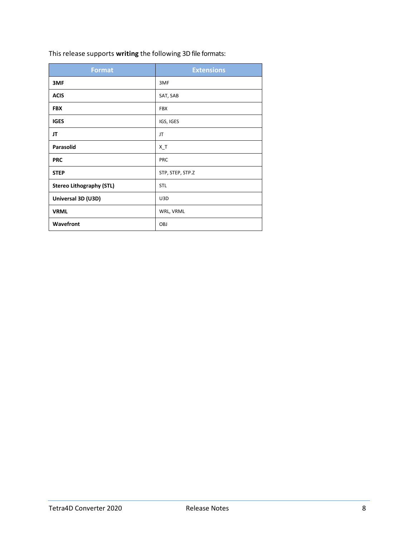|  |  | This release supports writing the following 3D file formats: |
|--|--|--------------------------------------------------------------|
|--|--|--------------------------------------------------------------|

| <b>Format</b>                   | <b>Extensions</b> |
|---------------------------------|-------------------|
| 3MF                             | 3MF               |
| <b>ACIS</b>                     | SAT, SAB          |
| <b>FBX</b>                      | <b>FBX</b>        |
| <b>IGES</b>                     | IGS, IGES         |
| JT                              | JT                |
| Parasolid                       | $X_T$             |
| <b>PRC</b>                      | PRC               |
| <b>STEP</b>                     | STP, STEP, STP.Z  |
| <b>Stereo Lithography (STL)</b> | STL               |
| Universal 3D (U3D)              | U3D               |
| <b>VRML</b>                     | WRL, VRML         |
| Wavefront                       | OBJ               |